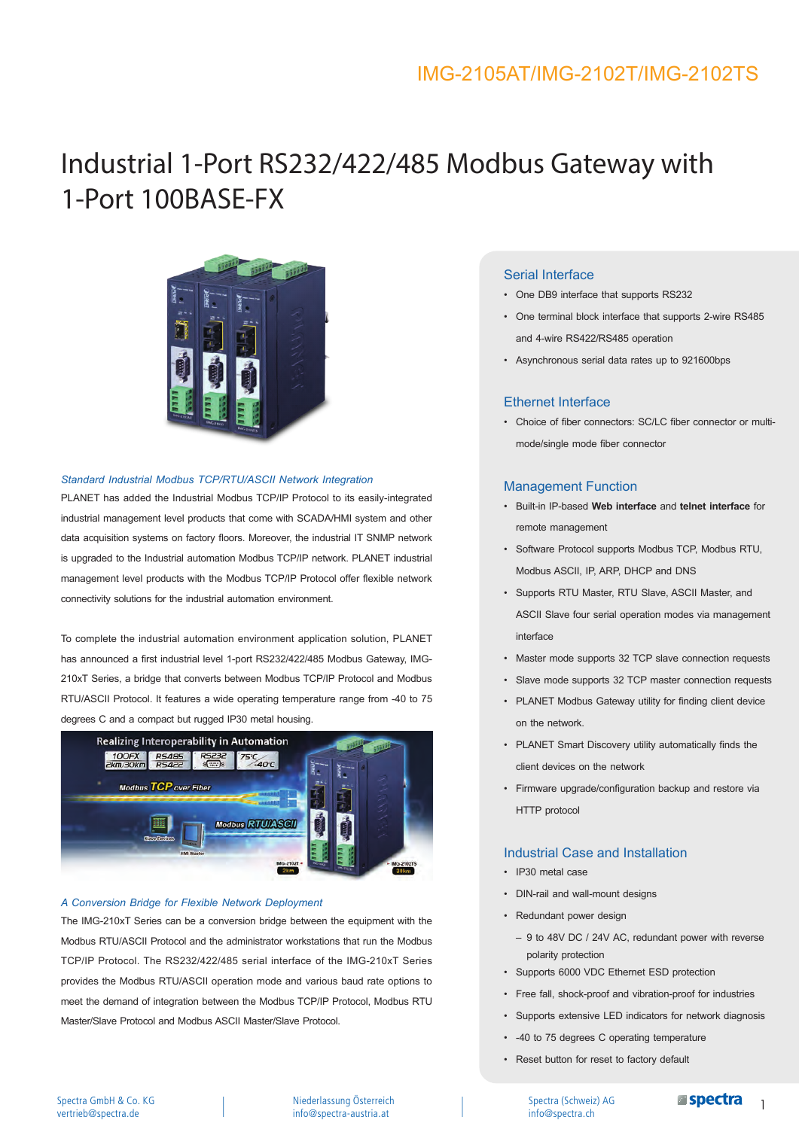# Industrial 1-Port RS232/422/485 Modbus Gateway with 1-Port 100BASE-FX



#### *Standard Industrial Modbus TCP/RTU/ASCII Network Integration*

PLANET has added the Industrial Modbus TCP/IP Protocol to its easily-integrated industrial management level products that come with SCADA/HMI system and other data acquisition systems on factory floors. Moreover, the industrial IT SNMP network is upgraded to the Industrial automation Modbus TCP/IP network. PLANET industrial management level products with the Modbus TCP/IP Protocol offer flexible network connectivity solutions for the industrial automation environment.

To complete the industrial automation environment application solution, PLANET has announced a first industrial level 1-port RS232/422/485 Modbus Gateway, IMG-210xT Series, a bridge that converts between Modbus TCP/IP Protocol and Modbus RTU/ASCII Protocol. It features a wide operating temperature range from -40 to 75 degrees C and a compact but rugged IP30 metal housing.



#### *A Conversion Bridge for Flexible Network Deployment*

The IMG-210xT Series can be a conversion bridge between the equipment with the Modbus RTU/ASCII Protocol and the administrator workstations that run the Modbus TCP/IP Protocol. The RS232/422/485 serial interface of the IMG-210xT Series provides the Modbus RTU/ASCII operation mode and various baud rate options to meet the demand of integration between the Modbus TCP/IP Protocol, Modbus RTU Master/Slave Protocol and Modbus ASCII Master/Slave Protocol.

### Serial Interface

- • One DB9 interface that supports RS232
- One terminal block interface that supports 2-wire RS485 and 4-wire RS422/RS485 operation
- Asynchronous serial data rates up to 921600bps

#### Ethernet Interface

• Choice of fiber connectors: SC/LC fiber connector or multimode/single mode fiber connector

#### Management Function

- • Built-in IP-based **Web interface** and **telnet interface** for remote management
- • Software Protocol supports Modbus TCP, Modbus RTU, Modbus ASCII, IP, ARP, DHCP and DNS
- • Supports RTU Master, RTU Slave, ASCII Master, and ASCII Slave four serial operation modes via management interface
- • Master mode supports 32 TCP slave connection requests
- Slave mode supports 32 TCP master connection requests
- PLANET Modbus Gateway utility for finding client device on the network.
- PLANET Smart Discovery utility automatically finds the client devices on the network
- Firmware upgrade/configuration backup and restore via HTTP protocol

#### Industrial Case and Installation

- IP30 metal case
- • DIN-rail and wall-mount designs
- • Redundant power design
	- 9 to 48V DC / 24V AC, redundant power with reverse polarity protection
- • Supports 6000 VDC Ethernet ESD protection
- Free fall, shock-proof and vibration-proof for industries
- Supports extensive LED indicators for network diagnosis
- -40 to 75 degrees C operating temperature
- • Reset button for reset to factory default

Niederlassung Österreich info@spectra-austria.at

Spectra (Schweiz) AG info@spectra.ch

1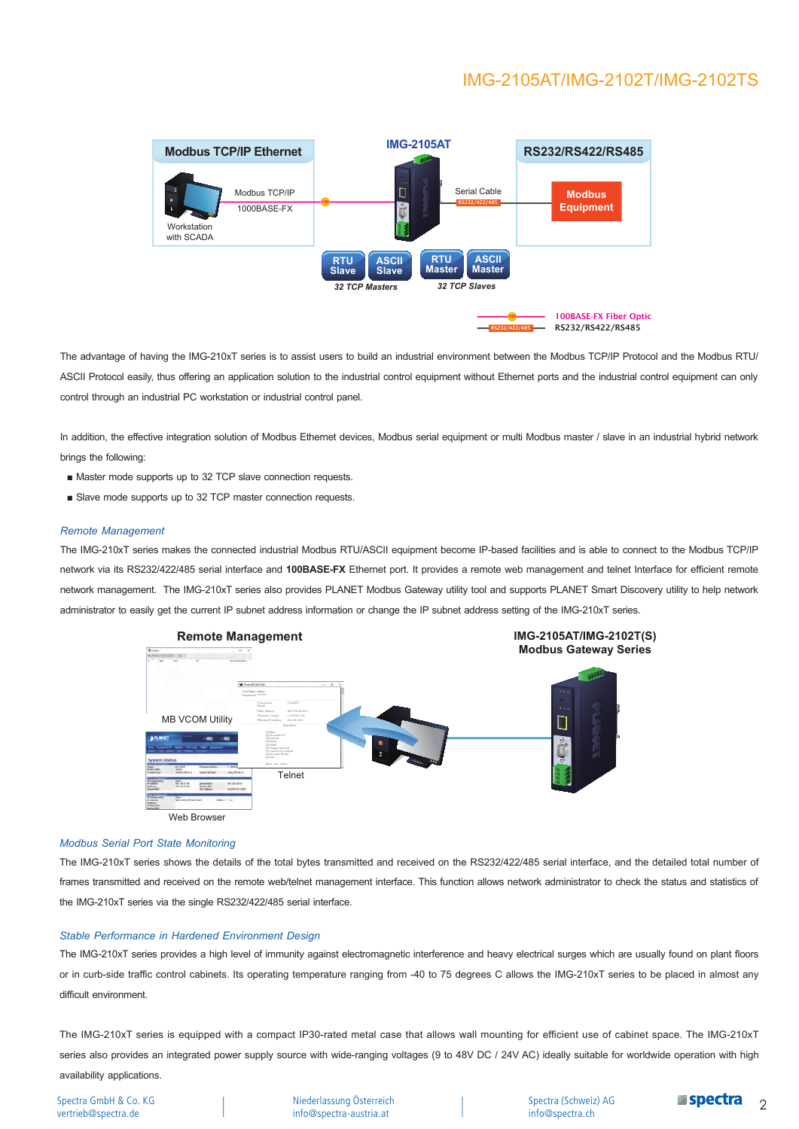

The advantage of having the IMG-210xT series is to assist users to build an industrial environment between the Modbus TCP/IP Protocol and the Modbus RTU/ ASCII Protocol easily, thus offering an application solution to the industrial control equipment without Ethernet ports and the industrial control equipment can only control through an industrial PC workstation or industrial control panel.

In addition, the effective integration solution of Modbus Ethernet devices. Modbus serial equipment or multi Modbus master / slave in an industrial hybrid network brings the following:

- Master mode supports up to 32 TCP slave connection requests.
- Slave mode supports up to 32 TCP master connection requests.

#### *Remote Management*

The IMG-210xT series makes the connected industrial Modbus RTU/ASCII equipment become IP-based facilities and is able to connect to the Modbus TCP/IP network via its RS232/422/485 serial interface and 100BASE-FX Ethernet port. It provides a remote web management and telnet Interface for efficient remote network management. The IMG-210xT series also provides PLANET Modbus Gateway utility tool and supports PLANET Smart Discovery utility to help network administrator to easily get the current IP subnet address information or change the IP subnet address setting of the IMG-210xT series.



#### *Modbus Serial Port State Monitoring*

The IMG-210xT series shows the details of the total bytes transmitted and received on the RS232/422/485 serial interface, and the detailed total number of frames transmitted and received on the remote web/telnet management interface. This function allows network administrator to check the status and statistics of the IMG-210xT series via the single RS232/422/485 serial interface.

#### *Stable Performance in Hardened Environment Design*

The IMG-210xT series provides a high level of immunity against electromagnetic interference and heavy electrical surges which are usually found on plant floors or in curb-side traffic control cabinets. Its operating temperature ranging from -40 to 75 degrees C allows the IMG-210xT series to be placed in almost any difficult environment.

The IMG-210xT series is equipped with a compact IP30-rated metal case that allows wall mounting for efficient use of cabinet space. The IMG-210xT series also provides an integrated power supply source with wide-ranging voltages (9 to 48V DC / 24V AC) ideally suitable for worldwide operation with high availability applications.

Spectra GmbH & Co. KG vertrieb@spectra.de

Niederlassung Österreich info@spectra-austria.at

Spectra (Schweiz) AG info@spectra.ch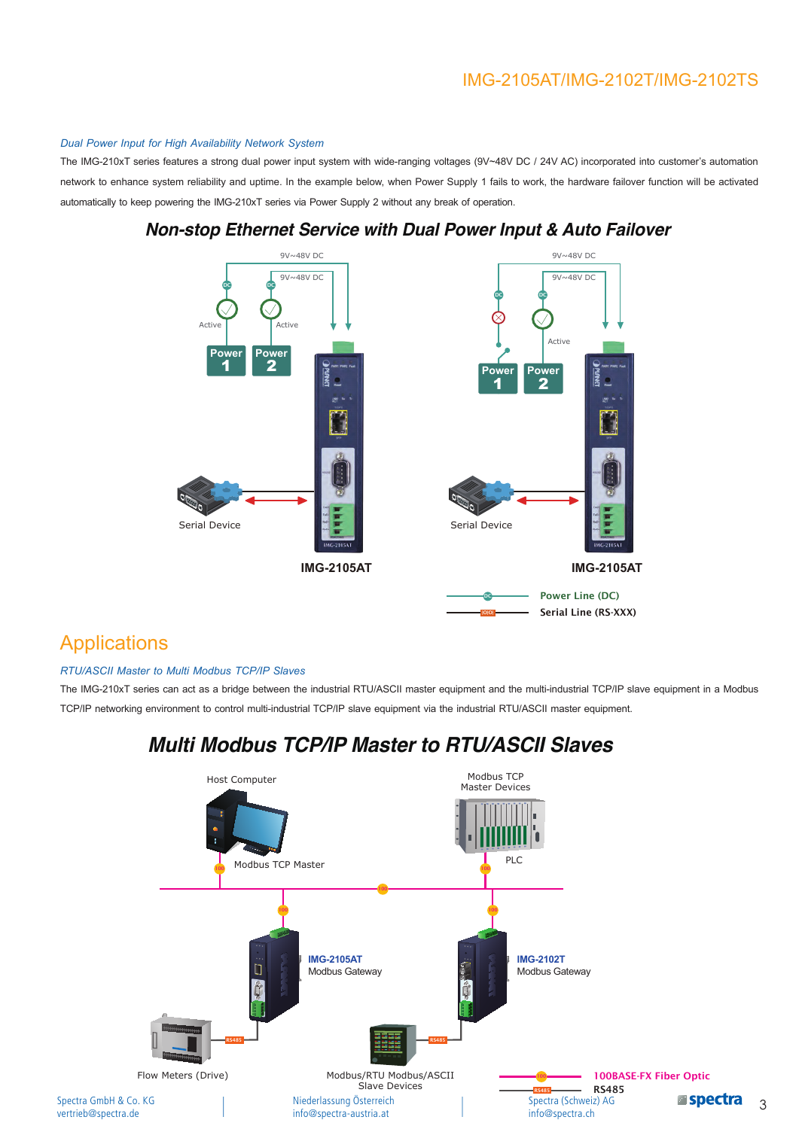#### *Dual Power Input for High Availability Network System*

The IMG-210xT series features a strong dual power input system with wide-ranging voltages (9V~48V DC / 24V AC) incorporated into customer's automation network to enhance system reliability and uptime. In the example below, when Power Supply 1 fails to work, the hardware failover function will be activated automatically to keep powering the IMG-210xT series via Power Supply 2 without any break of operation.



### **Non-stop Ethernet Service with Dual Power Input & Auto Failover**

### **Applications**

### *RTU/ASCII Master to Multi Modbus TCP/IP Slaves*

The IMG-210xT series can act as a bridge between the industrial RTU/ASCII master equipment and the multi-industrial TCP/IP slave equipment in a Modbus TCP/IP networking environment to control multi-industrial TCP/IP slave equipment via the industrial RTU/ASCII master equipment.

### **Multi Modbus TCP/IP Master to RTU/ASCII Slaves**

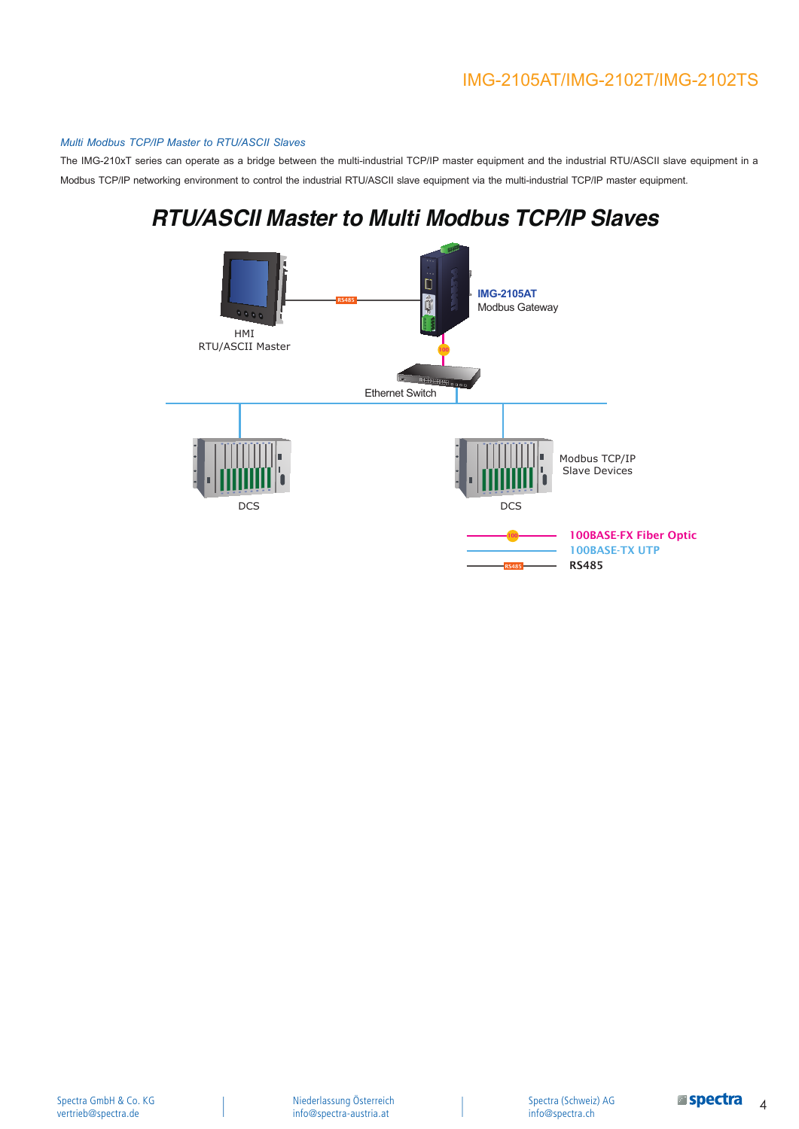#### *Multi Modbus TCP/IP Master to RTU/ASCII Slaves*

The IMG-210xT series can operate as a bridge between the multi-industrial TCP/IP master equipment and the industrial RTU/ASCII slave equipment in a Modbus TCP/IP networking environment to control the industrial RTU/ASCII slave equipment via the multi-industrial TCP/IP master equipment.

# **RTU/ASCII Master to Multi Modbus TCP/IP Slaves**

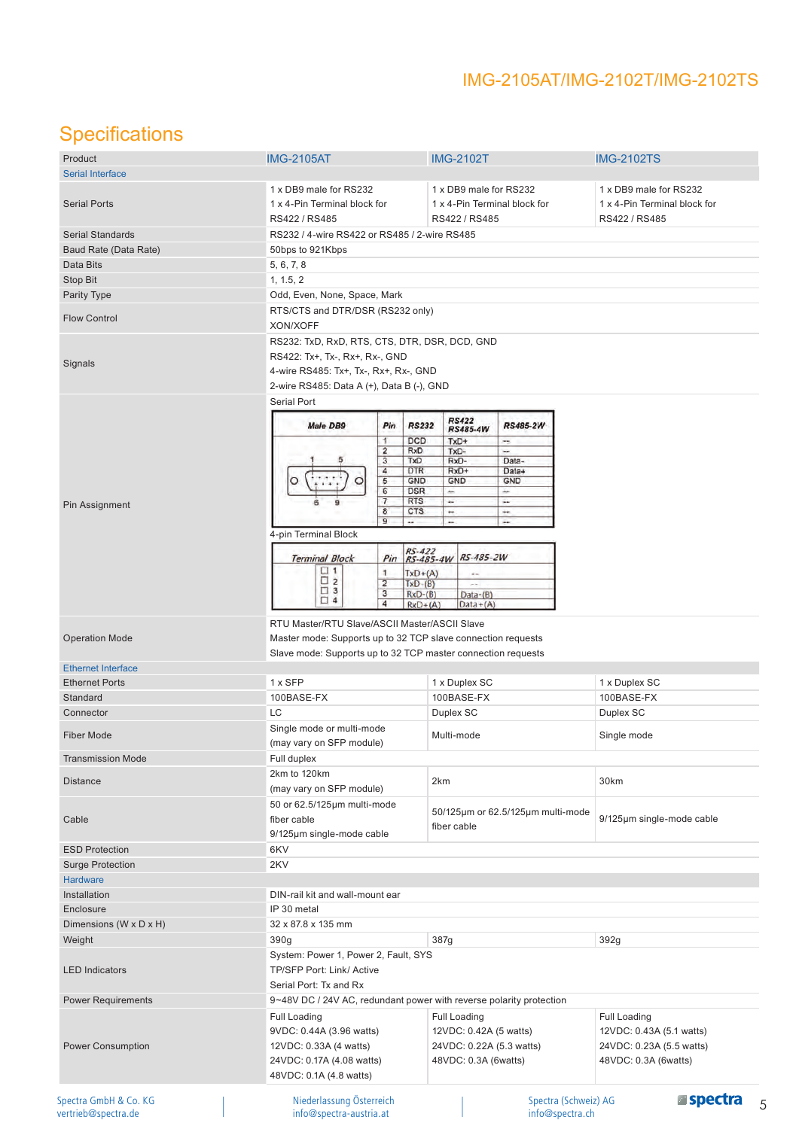# **Specifications**

| Product                   | <b>IMG-2105AT</b>                                            | <b>IMG-2102T</b>                                                    |                              |
|---------------------------|--------------------------------------------------------------|---------------------------------------------------------------------|------------------------------|
| <b>Serial Interface</b>   |                                                              |                                                                     | <b>IMG-2102TS</b>            |
|                           |                                                              |                                                                     |                              |
|                           | 1 x DB9 male for RS232                                       | 1 x DB9 male for RS232                                              | 1 x DB9 male for RS232       |
| <b>Serial Ports</b>       | 1 x 4-Pin Terminal block for                                 | 1 x 4-Pin Terminal block for                                        | 1 x 4-Pin Terminal block for |
|                           | RS422 / RS485                                                | RS422 / RS485                                                       | RS422 / RS485                |
| Serial Standards          | RS232 / 4-wire RS422 or RS485 / 2-wire RS485                 |                                                                     |                              |
| Baud Rate (Data Rate)     | 50bps to 921Kbps                                             |                                                                     |                              |
| Data Bits                 | 5, 6, 7, 8                                                   |                                                                     |                              |
| <b>Stop Bit</b>           | 1, 1.5, 2                                                    |                                                                     |                              |
| Parity Type               | Odd, Even, None, Space, Mark                                 |                                                                     |                              |
|                           | RTS/CTS and DTR/DSR (RS232 only)                             |                                                                     |                              |
| <b>Flow Control</b>       | XON/XOFF                                                     |                                                                     |                              |
| Signals                   | RS232: TxD, RxD, RTS, CTS, DTR, DSR, DCD, GND                |                                                                     |                              |
|                           | RS422: Tx+, Tx-, Rx+, Rx-, GND                               |                                                                     |                              |
|                           | 4-wire RS485: Tx+, Tx-, Rx+, Rx-, GND                        |                                                                     |                              |
|                           | 2-wire RS485: Data A (+), Data B (-), GND                    |                                                                     |                              |
|                           | <b>Serial Port</b>                                           |                                                                     |                              |
|                           |                                                              | <b>RS422</b>                                                        |                              |
|                           | <b>Male DB9</b><br>Pin                                       | <b>RS232</b><br><b>RS485-2W</b><br>RS485-4W                         |                              |
|                           | 1                                                            | <b>DCD</b><br>TxD+<br>-                                             |                              |
|                           | $\overline{2}$<br>3                                          | RxD<br>TxD-<br>-<br>TxD<br>RxD-<br>Data-                            |                              |
|                           | 4                                                            | RxD+<br><b>DTR</b><br>Data+                                         |                              |
|                           | 5                                                            | GND<br>GND<br>GND                                                   |                              |
|                           | $\overline{6}$<br>7                                          | <b>DSR</b><br>÷<br>÷<br><b>RTS</b><br>u                             |                              |
| Pin Assignment            | $\overline{\mathbf{8}}$                                      | ü.<br><b>CTS</b><br>÷<br>÷                                          |                              |
|                           | $\overline{9}$<br>                                           | <br>÷                                                               |                              |
|                           | 4-pin Terminal Block                                         |                                                                     |                              |
|                           |                                                              | $Pin$ $RS-422$<br>$RS-485-4W$                                       |                              |
|                           | <b>Terminal Block</b><br>$\Box$ 1                            | RS-485-2W                                                           |                              |
|                           | 1<br>$\square$ 2<br>$\overline{2}$                           | $TxD+(A)$                                                           |                              |
|                           | $\Box$ 3<br>3                                                | $TxD-(B)$<br>$-1$<br>$RxD-(B)$<br>$Data-(B)$                        |                              |
|                           | $\Box$ 4<br>4                                                | $Data+(A)$<br>$RxD+(A)$                                             |                              |
|                           | RTU Master/RTU Slave/ASCII Master/ASCII Slave                |                                                                     |                              |
|                           |                                                              |                                                                     |                              |
| <b>Operation Mode</b>     | Master mode: Supports up to 32 TCP slave connection requests |                                                                     |                              |
|                           | Slave mode: Supports up to 32 TCP master connection requests |                                                                     |                              |
| <b>Ethernet Interface</b> |                                                              |                                                                     |                              |
| <b>Ethernet Ports</b>     | 1 x SFP                                                      | 1 x Duplex SC                                                       | 1 x Duplex SC                |
| Standard                  | 100BASE-FX                                                   | 100BASE-FX                                                          | 100BASE-FX                   |
| Connector                 | LC                                                           | Duplex SC                                                           | Duplex SC                    |
|                           | Single mode or multi-mode                                    |                                                                     |                              |
| <b>Fiber Mode</b>         |                                                              | Multi-mode                                                          | Single mode                  |
|                           | (may vary on SFP module)                                     |                                                                     |                              |
| <b>Transmission Mode</b>  | Full duplex                                                  |                                                                     |                              |
| <b>Distance</b>           | 2km to 120km                                                 | 2km                                                                 | 30km                         |
|                           | (may vary on SFP module)                                     |                                                                     |                              |
|                           | 50 or 62.5/125µm multi-mode                                  |                                                                     |                              |
| Cable                     | fiber cable                                                  | 50/125µm or 62.5/125µm multi-mode                                   | 9/125µm single-mode cable    |
|                           | 9/125µm single-mode cable                                    | fiber cable                                                         |                              |
|                           |                                                              |                                                                     |                              |
| <b>ESD Protection</b>     | 6KV                                                          |                                                                     |                              |
| <b>Surge Protection</b>   | 2KV                                                          |                                                                     |                              |
| <b>Hardware</b>           |                                                              |                                                                     |                              |
| Installation              | DIN-rail kit and wall-mount ear                              |                                                                     |                              |
| Enclosure                 | IP 30 metal                                                  |                                                                     |                              |
| Dimensions (W x D x H)    | 32 x 87.8 x 135 mm                                           |                                                                     |                              |
| Weight                    | 390g                                                         | 387g                                                                | 392g                         |
|                           |                                                              |                                                                     |                              |
|                           | System: Power 1, Power 2, Fault, SYS                         |                                                                     |                              |
| <b>LED Indicators</b>     | TP/SFP Port: Link/ Active                                    |                                                                     |                              |
|                           | Serial Port: Tx and Rx                                       |                                                                     |                              |
| <b>Power Requirements</b> |                                                              | 9~48V DC / 24V AC, redundant power with reverse polarity protection |                              |
|                           | <b>Full Loading</b>                                          | Full Loading                                                        | <b>Full Loading</b>          |
|                           | 9VDC: 0.44A (3.96 watts)                                     | 12VDC: 0.42A (5 watts)                                              | 12VDC: 0.43A (5.1 watts)     |
|                           |                                                              |                                                                     |                              |
| <b>Power Consumption</b>  | 12VDC: 0.33A (4 watts)                                       | 24VDC: 0.22A (5.3 watts)                                            | 24VDC: 0.23A (5.5 watts)     |
|                           | 24VDC: 0.17A (4.08 watts)                                    | 48VDC: 0.3A (6watts)                                                | 48VDC: 0.3A (6watts)         |
|                           | 48VDC: 0.1A (4.8 watts)                                      |                                                                     |                              |
|                           |                                                              |                                                                     |                              |
| Spectra GmbH & Co. KG     | Niederlassung Österreich                                     | Spectra (Schweiz) AG                                                | <b>Espectra</b>              |
| vertrieb@spectra.de       | info@spectra-austria.at                                      | info@spectra.ch                                                     |                              |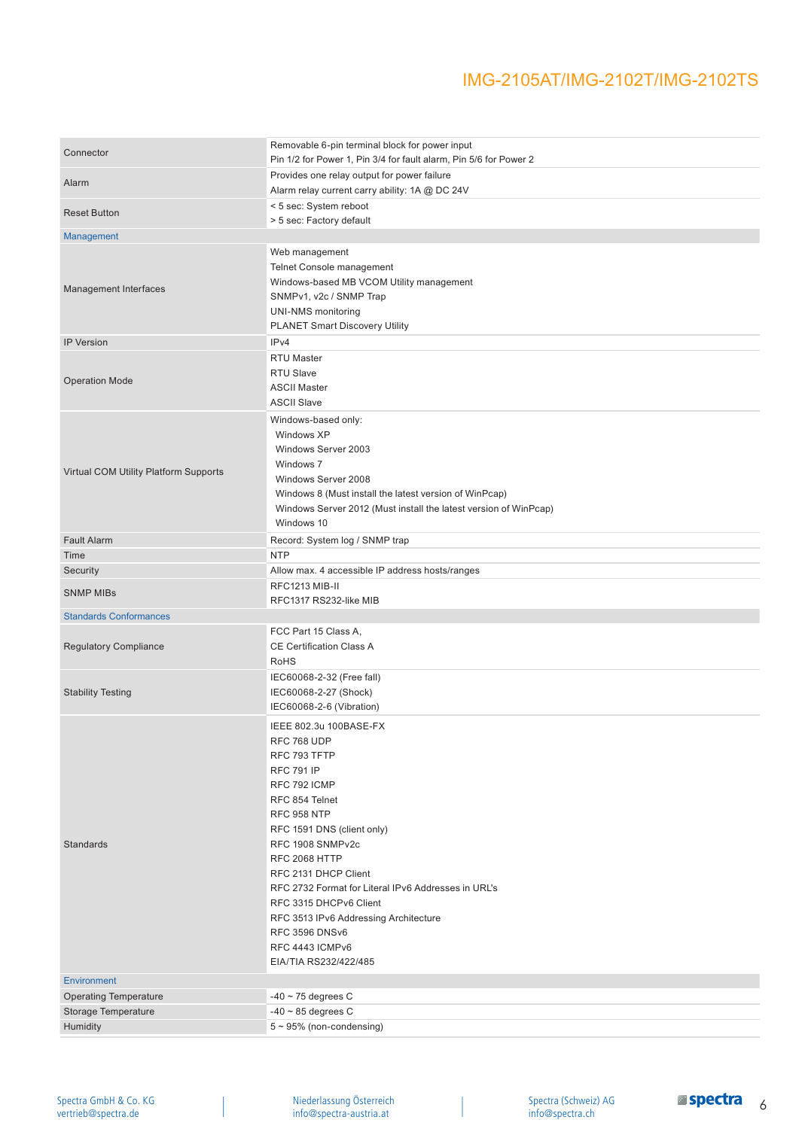| Connector                             | Removable 6-pin terminal block for power input<br>Pin 1/2 for Power 1, Pin 3/4 for fault alarm, Pin 5/6 for Power 2 |
|---------------------------------------|---------------------------------------------------------------------------------------------------------------------|
|                                       | Provides one relay output for power failure                                                                         |
| Alarm                                 | Alarm relay current carry ability: 1A @ DC 24V                                                                      |
|                                       | < 5 sec: System reboot                                                                                              |
| <b>Reset Button</b>                   | > 5 sec: Factory default                                                                                            |
| Management                            |                                                                                                                     |
|                                       |                                                                                                                     |
|                                       | Web management<br>Telnet Console management                                                                         |
|                                       |                                                                                                                     |
| Management Interfaces                 | Windows-based MB VCOM Utility management                                                                            |
|                                       | SNMPv1, v2c / SNMP Trap                                                                                             |
|                                       | UNI-NMS monitoring                                                                                                  |
|                                       | <b>PLANET Smart Discovery Utility</b>                                                                               |
| <b>IP Version</b>                     | IP <sub>v4</sub>                                                                                                    |
|                                       | RTU Master                                                                                                          |
| <b>Operation Mode</b>                 | RTU Slave                                                                                                           |
|                                       | <b>ASCII Master</b>                                                                                                 |
|                                       | <b>ASCII Slave</b>                                                                                                  |
|                                       | Windows-based only:                                                                                                 |
|                                       | Windows XP                                                                                                          |
|                                       | Windows Server 2003                                                                                                 |
| Virtual COM Utility Platform Supports | Windows 7                                                                                                           |
|                                       | Windows Server 2008                                                                                                 |
|                                       | Windows 8 (Must install the latest version of WinPcap)                                                              |
|                                       | Windows Server 2012 (Must install the latest version of WinPcap)                                                    |
|                                       | Windows 10                                                                                                          |
| <b>Fault Alarm</b>                    | Record: System log / SNMP trap                                                                                      |
| Time                                  | <b>NTP</b>                                                                                                          |
| Security                              | Allow max. 4 accessible IP address hosts/ranges                                                                     |
| <b>SNMP MIBs</b>                      | RFC1213 MIB-II                                                                                                      |
|                                       | RFC1317 RS232-like MIB                                                                                              |
| <b>Standards Conformances</b>         |                                                                                                                     |
|                                       | FCC Part 15 Class A.                                                                                                |
| <b>Regulatory Compliance</b>          | <b>CE Certification Class A</b>                                                                                     |
|                                       |                                                                                                                     |
|                                       | <b>RoHS</b>                                                                                                         |
|                                       | IEC60068-2-32 (Free fall)                                                                                           |
| <b>Stability Testing</b>              | IEC60068-2-27 (Shock)                                                                                               |
|                                       | IEC60068-2-6 (Vibration)                                                                                            |
|                                       | IEEE 802.3u 100BASE-FX                                                                                              |
|                                       |                                                                                                                     |
|                                       | RFC 768 UDP<br>RFC 793 TFTP                                                                                         |
|                                       | <b>RFC 791 IP</b>                                                                                                   |
|                                       | RFC 792 ICMP                                                                                                        |
|                                       | RFC 854 Telnet                                                                                                      |
|                                       | <b>RFC 958 NTP</b>                                                                                                  |
|                                       |                                                                                                                     |
| Standards                             | RFC 1591 DNS (client only)<br>RFC 1908 SNMPv2c                                                                      |
|                                       | <b>RFC 2068 HTTP</b>                                                                                                |
|                                       | RFC 2131 DHCP Client                                                                                                |
|                                       | RFC 2732 Format for Literal IPv6 Addresses in URL's                                                                 |
|                                       | RFC 3315 DHCPv6 Client                                                                                              |
|                                       | RFC 3513 IPv6 Addressing Architecture                                                                               |
|                                       | <b>RFC 3596 DNSv6</b>                                                                                               |
|                                       | RFC 4443 ICMPv6                                                                                                     |
|                                       | EIA/TIA RS232/422/485                                                                                               |
|                                       |                                                                                                                     |
| <b>Environment</b>                    |                                                                                                                     |
| <b>Operating Temperature</b>          | $-40 \sim 75$ degrees C                                                                                             |
| Storage Temperature<br>Humidity       | $-40 \sim 85$ degrees C<br>$5 \sim 95\%$ (non-condensing)                                                           |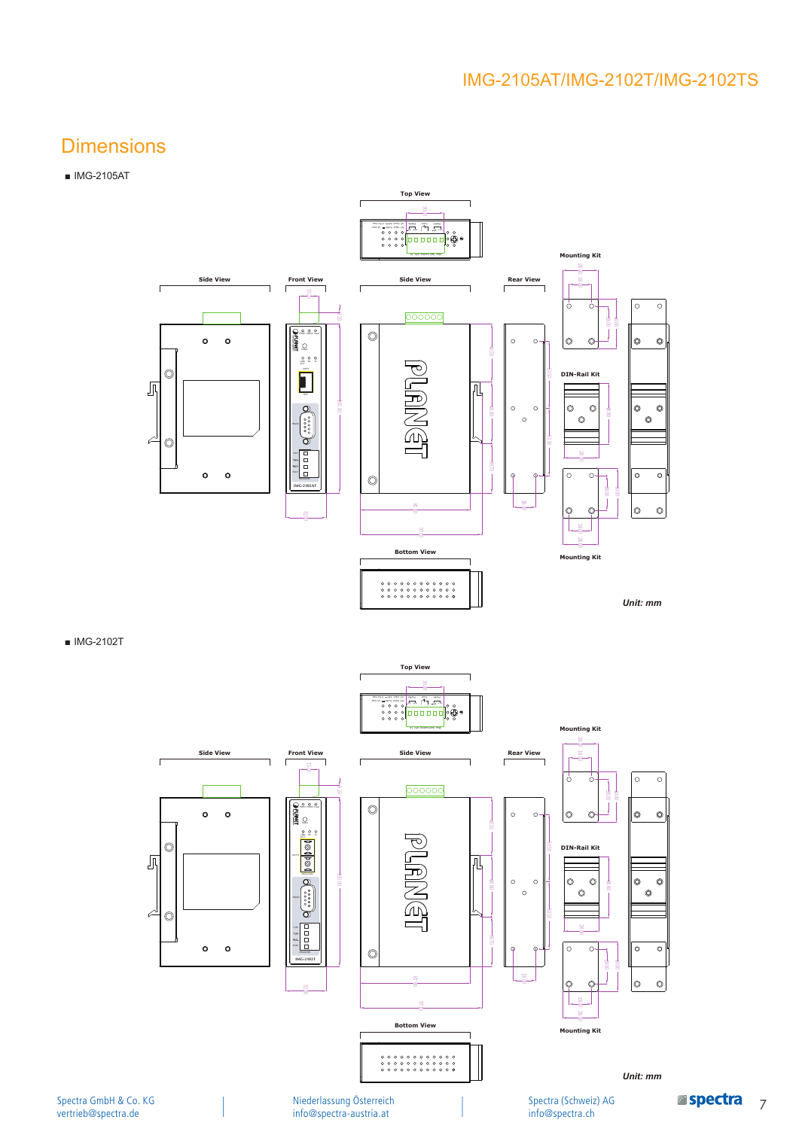### **Dimensions**

### ■ IMG-2105AT



■ IMG-2102T